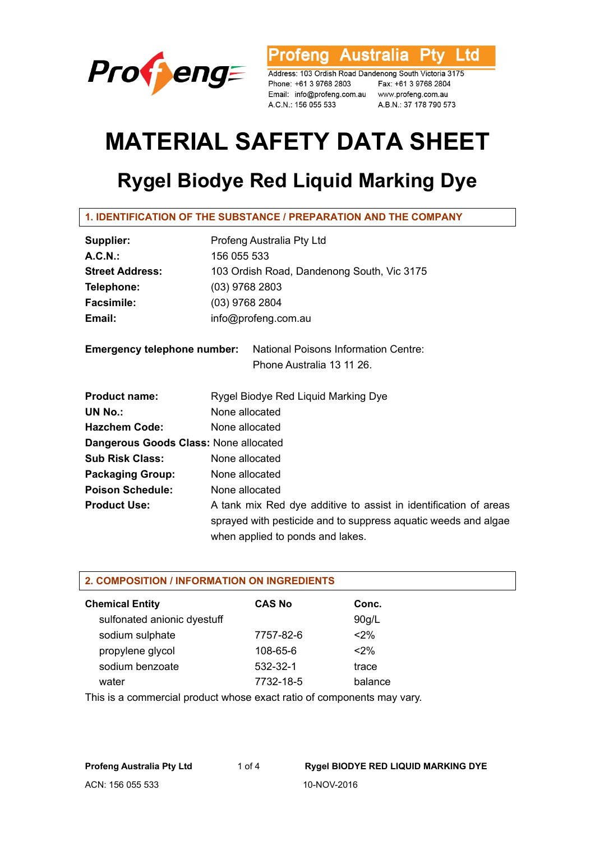

**rofeng Australia Ptv** Ltd

Address: 103 Ordish Road Dandenong South Victoria 3175 Phone: +61 3 9768 2803 Fax: +61 3 9768 2804<br>Email: info@profeng.com.au www.profeng.com.au A.C.N.: 156 055 533 A.B.N.: 37 178 790 573

# **MATERIAL SAFETY DATA SHEET**

# **Rygel Biodye Red Liquid Marking Dye**

| Supplier:                             | Profeng Australia Pty Ltd                                                                                                                                              |  |  |  |  |
|---------------------------------------|------------------------------------------------------------------------------------------------------------------------------------------------------------------------|--|--|--|--|
| A.C.N.                                | 156 055 533                                                                                                                                                            |  |  |  |  |
| <b>Street Address:</b>                | 103 Ordish Road, Dandenong South, Vic 3175                                                                                                                             |  |  |  |  |
| Telephone:                            | $(03)$ 9768 2803                                                                                                                                                       |  |  |  |  |
| <b>Facsimile:</b>                     | $(03)$ 9768 2804                                                                                                                                                       |  |  |  |  |
| Email:                                | info@profeng.com.au                                                                                                                                                    |  |  |  |  |
|                                       | <b>Emergency telephone number:</b> National Poisons Information Centre:                                                                                                |  |  |  |  |
|                                       | Phone Australia 13 11 26.                                                                                                                                              |  |  |  |  |
| <b>Product name:</b>                  | Rygel Biodye Red Liquid Marking Dye                                                                                                                                    |  |  |  |  |
| <b>UN No.:</b>                        | None allocated                                                                                                                                                         |  |  |  |  |
| <b>Hazchem Code:</b>                  | None allocated                                                                                                                                                         |  |  |  |  |
| Dangerous Goods Class: None allocated |                                                                                                                                                                        |  |  |  |  |
| <b>Sub Risk Class:</b>                | None allocated                                                                                                                                                         |  |  |  |  |
| <b>Packaging Group:</b>               | None allocated                                                                                                                                                         |  |  |  |  |
| <b>Poison Schedule:</b>               | None allocated                                                                                                                                                         |  |  |  |  |
| <b>Product Use:</b>                   | A tank mix Red dye additive to assist in identification of areas<br>sprayed with pesticide and to suppress aquatic weeds and algae<br>when applied to ponds and lakes. |  |  |  |  |

## **2. COMPOSITION / INFORMATION ON INGREDIENTS**

| <b>Chemical Entity</b>      | <b>CAS No</b>  | Conc.   |
|-----------------------------|----------------|---------|
| sulfonated anionic dyestuff |                | 90q/L   |
| sodium sulphate             | 7757-82-6      | $2\%$   |
| propylene glycol            | $108 - 65 - 6$ | $2\%$   |
| sodium benzoate             | 532-32-1       | trace   |
| water                       | 7732-18-5      | balance |

This is a commercial product whose exact ratio of components may vary.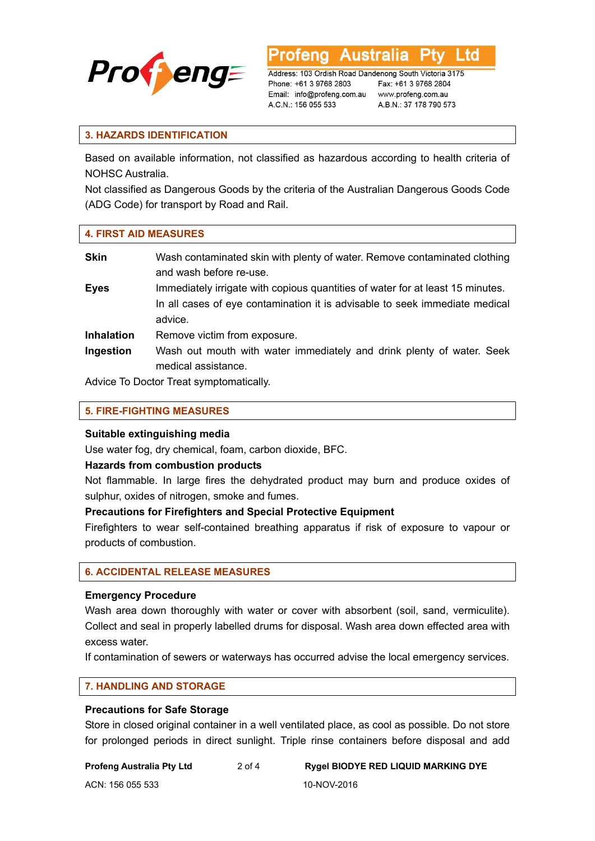

Australia ∟td

Address: 103 Ordish Road Dandenong South Victoria 3175 Phone: +61 3 9768 2803 Email: info@profeng.com.au www.profeng.com.au A.C.N.: 156 055 533

Fax: +61 3 9768 2804 A.B.N.: 37 178 790 573

# **3. HAZARDS IDENTIFICATION**

Based on available information, not classified as hazardous according to health criteria of NOHSC Australia.

Not classified as Dangerous Goods by the criteria of the Australian Dangerous Goods Code (ADG Code) for transport by Road and Rail.

#### **4. FIRST AID MEASURES**

| <b>Skin</b>                    | Wash contaminated skin with plenty of water. Remove contaminated clothing<br>and wash before re-use.                                                                     |
|--------------------------------|--------------------------------------------------------------------------------------------------------------------------------------------------------------------------|
| <b>Eyes</b>                    | Immediately irrigate with copious quantities of water for at least 15 minutes.<br>In all cases of eye contamination it is advisable to seek immediate medical<br>advice. |
| <b>Inhalation</b><br>Ingestion | Remove victim from exposure.<br>Wash out mouth with water immediately and drink plenty of water. Seek<br>medical assistance.                                             |

Advice To Doctor Treat symptomatically.

#### **5. FIRE-FIGHTING MEASURES**

## **Suitable extinguishing media**

Use water fog, dry chemical, foam, carbon dioxide, BFC.

## **Hazards from combustion products**

Not flammable. In large fires the dehydrated product may burn and produce oxides of sulphur, oxides of nitrogen, smoke and fumes.

# **Precautions for Firefighters and Special Protective Equipment**

Firefighters to wear self-contained breathing apparatus if risk of exposure to vapour or products of combustion.

## **6. ACCIDENTAL RELEASE MEASURES**

# **Emergency Procedure**

Wash area down thoroughly with water or cover with absorbent (soil, sand, vermiculite). Collect and seal in properly labelled drums for disposal. Wash area down effected area with excess water.

If contamination of sewers or waterways has occurred advise the local emergency services.

## **7. HANDLING AND STORAGE**

#### **Precautions for Safe Storage**

Store in closed original container in a well ventilated place, as cool as possible. Do not store for prolonged periods in direct sunlight. Triple rinse containers before disposal and add

#### **Profeng Australia Pty Ltd** 2 of 4 **Rygel BIODYE RED LIQUID MARKING DYE**

ACN: 156 055 533 10-NOV-2016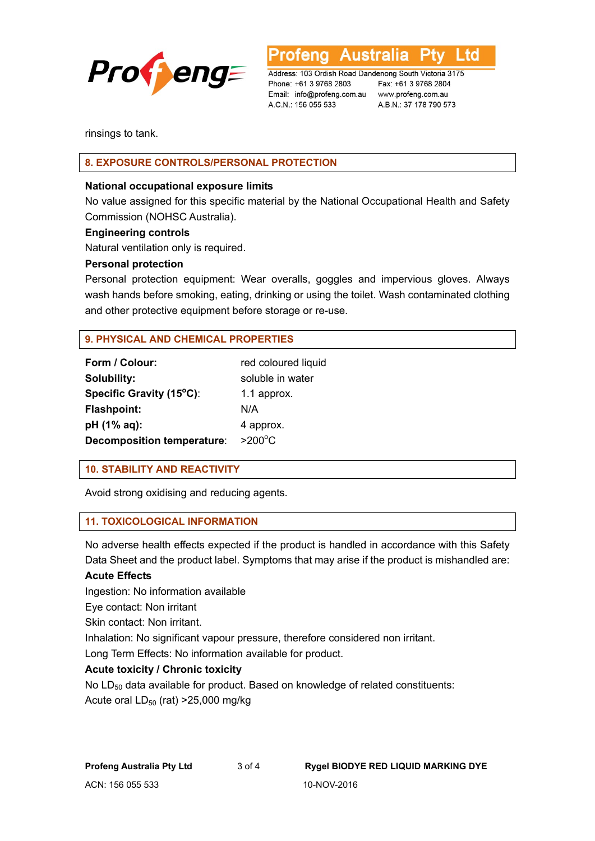

Australia ∟td

Address: 103 Ordish Road Dandenong South Victoria 3175 Phone: +61 3 9768 2803 Email: info@profeng.com.au www.profeng.com.au A.C.N.: 156 055 533

Fax: +61 3 9768 2804 A.B.N.: 37 178 790 573

rinsings to tank.

# **8. EXPOSURE CONTROLS/PERSONAL PROTECTION**

# **National occupational exposure limits**

No value assigned for this specific material by the National Occupational Health and Safety Commission (NOHSC Australia).

# **Engineering controls**

Natural ventilation only is required.

# **Personal protection**

Personal protection equipment: Wear overalls, goggles and impervious gloves. Always wash hands before smoking, eating, drinking or using the toilet. Wash contaminated clothing and other protective equipment before storage or re-use.

# **9. PHYSICAL AND CHEMICAL PROPERTIES**

| Form / Colour:                    | red coloured liquid |
|-----------------------------------|---------------------|
| Solubility:                       | soluble in water    |
| Specific Gravity (15°C):          | 1.1 approx.         |
| <b>Flashpoint:</b>                | N/A                 |
| pH (1% aq):                       | 4 approx.           |
| <b>Decomposition temperature:</b> | $>200^{\circ}$ C    |

# **10. STABILITY AND REACTIVITY**

Avoid strong oxidising and reducing agents.

## **11. TOXICOLOGICAL INFORMATION**

No adverse health effects expected if the product is handled in accordance with this Safety Data Sheet and the product label. Symptoms that may arise if the product is mishandled are:

## **Acute Effects**

Ingestion: No information available

Eye contact: Non irritant

Skin contact: Non irritant.

Inhalation: No significant vapour pressure, therefore considered non irritant.

Long Term Effects: No information available for product.

# **Acute toxicity / Chronic toxicity**

No  $LD_{50}$  data available for product. Based on knowledge of related constituents: Acute oral  $LD_{50}$  (rat) > 25,000 mg/kg